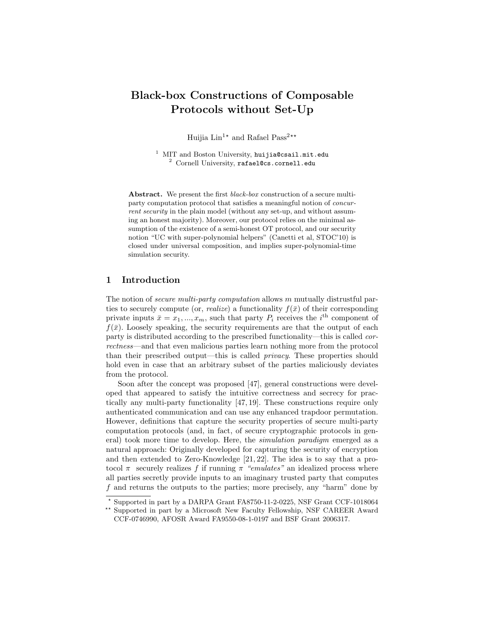# Black-box Constructions of Composable Protocols without Set-Up

Huijia Lin<sup>1\*</sup> and Rafael Pass<sup>2\*\*</sup>

 $1$  MIT and Boston University, huijia@csail.mit.edu <sup>2</sup> Cornell University, rafael@cs.cornell.edu

Abstract. We present the first *black-box* construction of a secure multiparty computation protocol that satisfies a meaningful notion of concurrent security in the plain model (without any set-up, and without assuming an honest majority). Moreover, our protocol relies on the minimal assumption of the existence of a semi-honest OT protocol, and our security notion "UC with super-polynomial helpers" (Canetti et al, STOC'10) is closed under universal composition, and implies super-polynomial-time simulation security.

## 1 Introduction

The notion of *secure multi-party computation* allows m mutually distrustful parties to securely compute (or, *realize*) a functionality  $f(\bar{x})$  of their corresponding private inputs  $\bar{x} = x_1, ..., x_m$ , such that party  $P_i$  receives the i<sup>th</sup> component of  $f(\bar{x})$ . Loosely speaking, the security requirements are that the output of each party is distributed according to the prescribed functionality—this is called correctness—and that even malicious parties learn nothing more from the protocol than their prescribed output—this is called privacy. These properties should hold even in case that an arbitrary subset of the parties maliciously deviates from the protocol.

Soon after the concept was proposed [47], general constructions were developed that appeared to satisfy the intuitive correctness and secrecy for practically any multi-party functionality [47, 19]. These constructions require only authenticated communication and can use any enhanced trapdoor permutation. However, definitions that capture the security properties of secure multi-party computation protocols (and, in fact, of secure cryptographic protocols in general) took more time to develop. Here, the simulation paradigm emerged as a natural approach: Originally developed for capturing the security of encryption and then extended to Zero-Knowledge [21, 22]. The idea is to say that a protocol  $\pi$  securely realizes f if running  $\pi$  "emulates" an idealized process where all parties secretly provide inputs to an imaginary trusted party that computes f and returns the outputs to the parties; more precisely, any "harm" done by

<sup>?</sup> Supported in part by a DARPA Grant FA8750-11-2-0225, NSF Grant CCF-1018064

<sup>\*\*</sup> Supported in part by a Microsoft New Faculty Fellowship, NSF CAREER Award CCF-0746990, AFOSR Award FA9550-08-1-0197 and BSF Grant 2006317.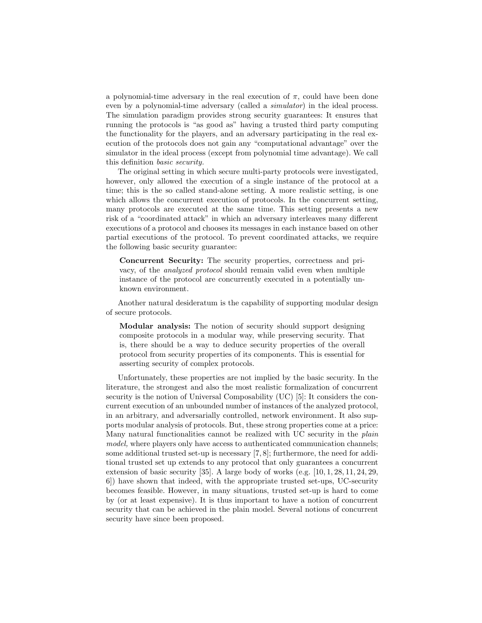a polynomial-time adversary in the real execution of  $\pi$ , could have been done even by a polynomial-time adversary (called a simulator) in the ideal process. The simulation paradigm provides strong security guarantees: It ensures that running the protocols is "as good as" having a trusted third party computing the functionality for the players, and an adversary participating in the real execution of the protocols does not gain any "computational advantage" over the simulator in the ideal process (except from polynomial time advantage). We call this definition basic security.

The original setting in which secure multi-party protocols were investigated, however, only allowed the execution of a single instance of the protocol at a time; this is the so called stand-alone setting. A more realistic setting, is one which allows the concurrent execution of protocols. In the concurrent setting, many protocols are executed at the same time. This setting presents a new risk of a "coordinated attack" in which an adversary interleaves many different executions of a protocol and chooses its messages in each instance based on other partial executions of the protocol. To prevent coordinated attacks, we require the following basic security guarantee:

Concurrent Security: The security properties, correctness and privacy, of the analyzed protocol should remain valid even when multiple instance of the protocol are concurrently executed in a potentially unknown environment.

Another natural desideratum is the capability of supporting modular design of secure protocols.

Modular analysis: The notion of security should support designing composite protocols in a modular way, while preserving security. That is, there should be a way to deduce security properties of the overall protocol from security properties of its components. This is essential for asserting security of complex protocols.

Unfortunately, these properties are not implied by the basic security. In the literature, the strongest and also the most realistic formalization of concurrent security is the notion of Universal Composability (UC) [5]: It considers the concurrent execution of an unbounded number of instances of the analyzed protocol, in an arbitrary, and adversarially controlled, network environment. It also supports modular analysis of protocols. But, these strong properties come at a price: Many natural functionalities cannot be realized with UC security in the plain model, where players only have access to authenticated communication channels; some additional trusted set-up is necessary [7, 8]; furthermore, the need for additional trusted set up extends to any protocol that only guarantees a concurrent extension of basic security [35]. A large body of works (e.g. [10, 1, 28, 11, 24, 29, 6]) have shown that indeed, with the appropriate trusted set-ups, UC-security becomes feasible. However, in many situations, trusted set-up is hard to come by (or at least expensive). It is thus important to have a notion of concurrent security that can be achieved in the plain model. Several notions of concurrent security have since been proposed.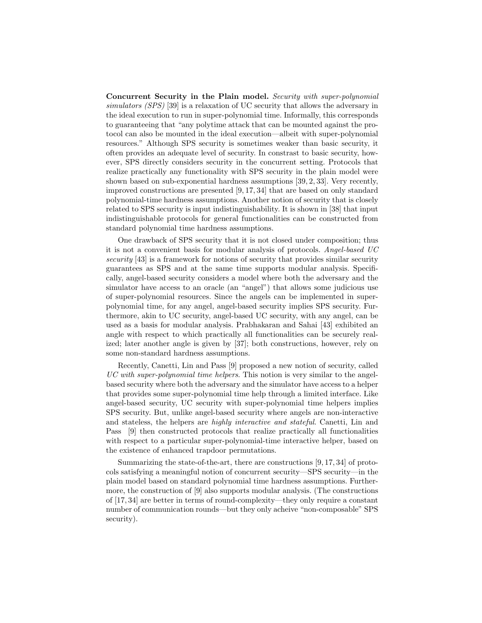Concurrent Security in the Plain model. Security with super-polynomial simulators (SPS) [39] is a relaxation of UC security that allows the adversary in the ideal execution to run in super-polynomial time. Informally, this corresponds to guaranteeing that "any polytime attack that can be mounted against the protocol can also be mounted in the ideal execution—albeit with super-polynomial resources." Although SPS security is sometimes weaker than basic security, it often provides an adequate level of security. In constrast to basic security, however, SPS directly considers security in the concurrent setting. Protocols that realize practically any functionality with SPS security in the plain model were shown based on sub-exponential hardness assumptions [39, 2, 33]. Very recently, improved constructions are presented [9, 17, 34] that are based on only standard polynomial-time hardness assumptions. Another notion of security that is closely related to SPS security is input indistinguishability. It is shown in [38] that input indistinguishable protocols for general functionalities can be constructed from standard polynomial time hardness assumptions.

One drawback of SPS security that it is not closed under composition; thus it is not a convenient basis for modular analysis of protocols. Angel-based UC security [43] is a framework for notions of security that provides similar security guarantees as SPS and at the same time supports modular analysis. Specifically, angel-based security considers a model where both the adversary and the simulator have access to an oracle (an "angel") that allows some judicious use of super-polynomial resources. Since the angels can be implemented in superpolynomial time, for any angel, angel-based security implies SPS security. Furthermore, akin to UC security, angel-based UC security, with any angel, can be used as a basis for modular analysis. Prabhakaran and Sahai [43] exhibited an angle with respect to which practically all functionalities can be securely realized; later another angle is given by [37]; both constructions, however, rely on some non-standard hardness assumptions.

Recently, Canetti, Lin and Pass [9] proposed a new notion of security, called  $UC$  with super-polynomial time helpers. This notion is very similar to the angelbased security where both the adversary and the simulator have access to a helper that provides some super-polynomial time help through a limited interface. Like angel-based security, UC security with super-polynomial time helpers implies SPS security. But, unlike angel-based security where angels are non-interactive and stateless, the helpers are highly interactive and stateful. Canetti, Lin and Pass [9] then constructed protocols that realize practically all functionalities with respect to a particular super-polynomial-time interactive helper, based on the existence of enhanced trapdoor permutations.

Summarizing the state-of-the-art, there are constructions [9, 17, 34] of protocols satisfying a meaningful notion of concurrent security—SPS security—in the plain model based on standard polynomial time hardness assumptions. Furthermore, the construction of [9] also supports modular analysis. (The constructions of [17, 34] are better in terms of round-complexity—they only require a constant number of communication rounds—but they only acheive "non-composable" SPS security).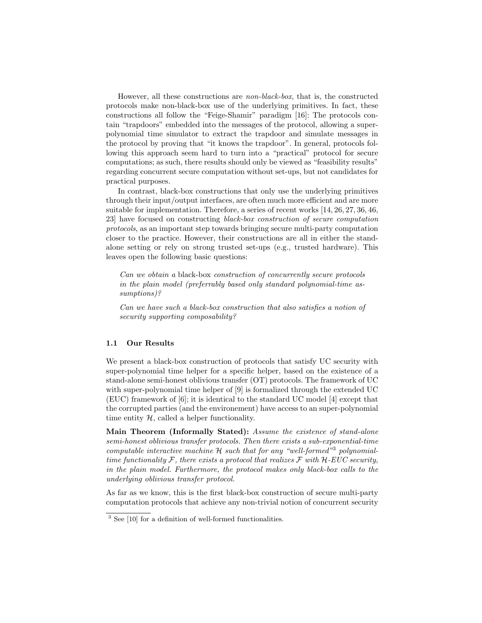However, all these constructions are non-black-box, that is, the constructed protocols make non-black-box use of the underlying primitives. In fact, these constructions all follow the "Feige-Shamir" paradigm [16]: The protocols contain "trapdoors" embedded into the messages of the protocol, allowing a superpolynomial time simulator to extract the trapdoor and simulate messages in the protocol by proving that "it knows the trapdoor". In general, protocols following this approach seem hard to turn into a "practical" protocol for secure computations; as such, there results should only be viewed as "feasibility results" regarding concurrent secure computation without set-ups, but not candidates for practical purposes.

In contrast, black-box constructions that only use the underlying primitives through their input/output interfaces, are often much more efficient and are more suitable for implementation. Therefore, a series of recent works [14, 26, 27, 36, 46, 23] have focused on constructing black-box construction of secure computation protocols, as an important step towards bringing secure multi-party computation closer to the practice. However, their constructions are all in either the standalone setting or rely on strong trusted set-ups (e.g., trusted hardware). This leaves open the following basic questions:

Can we obtain a black-box construction of concurrently secure protocols in the plain model (preferrably based only standard polynomial-time assumptions)?

Can we have such a black-box construction that also satisfies a notion of security supporting composability?

#### 1.1 Our Results

We present a black-box construction of protocols that satisfy UC security with super-polynomial time helper for a specific helper, based on the existence of a stand-alone semi-honest oblivious transfer (OT) protocols. The framework of UC with super-polynomial time helper of [9] is formalized through the extended UC (EUC) framework of [6]; it is identical to the standard UC model [4] except that the corrupted parties (and the environement) have access to an super-polynomial time entity  $H$ , called a helper functionality.

Main Theorem (Informally Stated): Assume the existence of stand-alone semi-honest oblivious transfer protocols. Then there exists a sub-exponential-time computable interactive machine  $H$  such that for any "well-formed"<sup>3</sup> polynomialtime functionality  $\mathcal F$ , there exists a protocol that realizes  $\mathcal F$  with  $\mathcal H$ -EUC security, in the plain model. Furthermore, the protocol makes only black-box calls to the underlying oblivious transfer protocol.

As far as we know, this is the first black-box construction of secure multi-party computation protocols that achieve any non-trivial notion of concurrent security

<sup>&</sup>lt;sup>3</sup> See [10] for a definition of well-formed functionalities.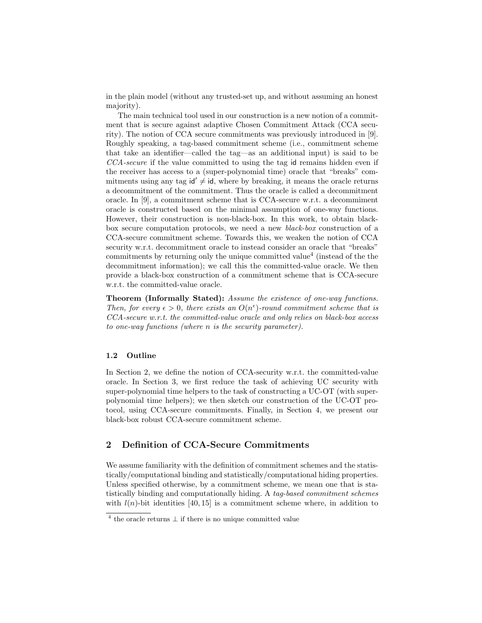in the plain model (without any trusted-set up, and without assuming an honest majority).

The main technical tool used in our construction is a new notion of a commitment that is secure against adaptive Chosen Commitment Attack (CCA security). The notion of CCA secure commitments was previously introduced in [9]. Roughly speaking, a tag-based commitment scheme (i.e., commitment scheme that take an identifier—called the tag—as an additional input) is said to be CCA-secure if the value committed to using the tag id remains hidden even if the receiver has access to a (super-polynomial time) oracle that "breaks" commitments using any tag  $id' \neq id$ , where by breaking, it means the oracle returns a decommitment of the commitment. Thus the oracle is called a decommitment oracle. In [9], a commitment scheme that is CCA-secure w.r.t. a decommiment oracle is constructed based on the minimal assumption of one-way functions. However, their construction is non-black-box. In this work, to obtain blackbox secure computation protocols, we need a new black-box construction of a CCA-secure commitment scheme. Towards this, we weaken the notion of CCA security w.r.t. decommitment oracle to instead consider an oracle that "breaks" commitments by returning only the unique committed value<sup>4</sup> (instead of the the decommitment information); we call this the committed-value oracle. We then provide a black-box construction of a commitment scheme that is CCA-secure w.r.t. the committed-value oracle.

Theorem (Informally Stated): Assume the existence of one-way functions. Then, for every  $\epsilon > 0$ , there exists an  $O(n^{\epsilon})$ -round commitment scheme that is CCA-secure w.r.t. the committed-value oracle and only relies on black-box access to one-way functions (where n is the security parameter).

### 1.2 Outline

In Section 2, we define the notion of CCA-security w.r.t. the committed-value oracle. In Section 3, we first reduce the task of achieving UC security with super-polynomial time helpers to the task of constructing a UC-OT (with superpolynomial time helpers); we then sketch our construction of the UC-OT protocol, using CCA-secure commitments. Finally, in Section 4, we present our black-box robust CCA-secure commitment scheme.

## 2 Definition of CCA-Secure Commitments

We assume familiarity with the definition of commitment schemes and the statistically/computational binding and statistically/computational hiding properties. Unless specified otherwise, by a commitment scheme, we mean one that is statistically binding and computationally hiding. A tag-based commitment schemes with  $l(n)$ -bit identities [40, 15] is a commitment scheme where, in addition to

 $4$  the oracle returns  $\perp$  if there is no unique committed value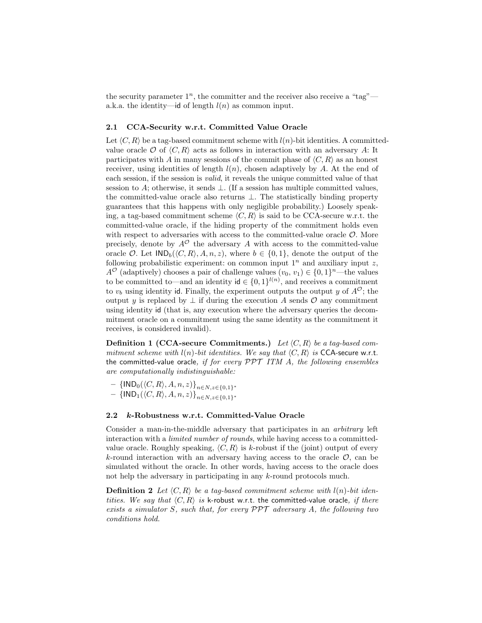the security parameter  $1^n$ , the committer and the receiver also receive a "tag" a.k.a. the identity—id of length  $l(n)$  as common input.

#### 2.1 CCA-Security w.r.t. Committed Value Oracle

Let  $\langle C, R \rangle$  be a tag-based commitment scheme with  $l(n)$ -bit identities. A committedvalue oracle  $\mathcal O$  of  $\langle C, R \rangle$  acts as follows in interaction with an adversary A: It participates with A in many sessions of the commit phase of  $\langle C, R \rangle$  as an honest receiver, using identities of length  $l(n)$ , chosen adaptively by A. At the end of each session, if the session is valid, it reveals the unique committed value of that session to A; otherwise, it sends  $\perp$ . (If a session has multiple committed values, the committed-value oracle also returns  $\perp$ . The statistically binding property guarantees that this happens with only negligible probability.) Loosely speaking, a tag-based commitment scheme  $\langle C, R \rangle$  is said to be CCA-secure w.r.t. the committed-value oracle, if the hiding property of the commitment holds even with respect to adversaries with access to the committed-value oracle  $\mathcal{O}$ . More precisely, denote by  $A^{\mathcal{O}}$  the adversary A with access to the committed-value oracle O. Let  $\text{IND}_b(\langle C, R \rangle, A, n, z)$ , where  $b \in \{0, 1\}$ , denote the output of the following probabilistic experiment: on common input  $1<sup>n</sup>$  and auxiliary input z,  $A^{\mathcal{O}}$  (adaptively) chooses a pair of challenge values  $(v_0, v_1) \in \{0, 1\}^n$ —the values to be committed to—and an identity  $\mathsf{id} \in \{0,1\}^{l(n)}$ , and receives a commitment to  $v_b$  using identity id. Finally, the experiment outputs the output y of  $A^{\mathcal{O}}$ ; the output y is replaced by  $\perp$  if during the execution A sends O any commitment using identity id (that is, any execution where the adversary queries the decommitment oracle on a commitment using the same identity as the commitment it receives, is considered invalid).

**Definition 1 (CCA-secure Commitments.)** Let  $\langle C, R \rangle$  be a tag-based commitment scheme with  $l(n)$ -bit identities. We say that  $\langle C, R \rangle$  is CCA-secure w.r.t. the committed-value oracle, if for every  $\mathcal{PPT}$  ITM A, the following ensembles are computationally indistinguishable:

– {IND<sub>0</sub>( $\langle C, R \rangle$ , A, n, z)}<sub>n∈N,z∈{0,1}</sub>∗  $- \{IND_1(\langle C, R \rangle, A, n, z)\}_{n \in N, z \in \{0,1\}^*}$ 

#### 2.2 k-Robustness w.r.t. Committed-Value Oracle

Consider a man-in-the-middle adversary that participates in an arbitrary left interaction with a limited number of rounds, while having access to a committedvalue oracle. Roughly speaking,  $\langle C, R \rangle$  is k-robust if the (joint) output of every k-round interaction with an adversary having access to the oracle  $\mathcal{O}$ , can be simulated without the oracle. In other words, having access to the oracle does not help the adversary in participating in any k-round protocols much.

**Definition 2** Let  $\langle C, R \rangle$  be a tag-based commitment scheme with  $l(n)$ -bit identities. We say that  $\langle C, R \rangle$  is k-robust w.r.t. the committed-value oracle, if there exists a simulator S, such that, for every  $\mathcal{PPT}$  adversary A, the following two conditions hold.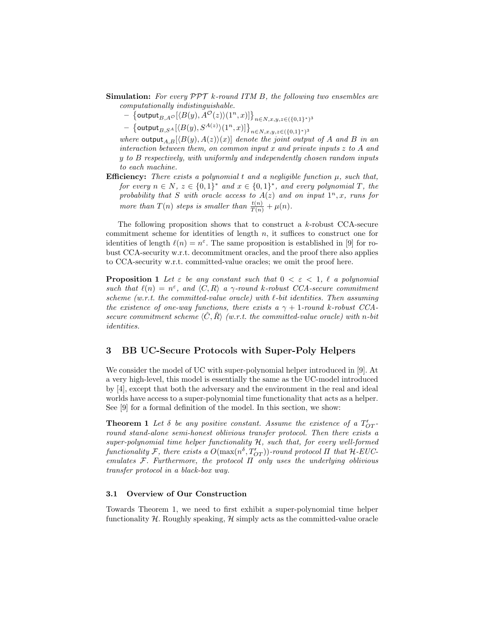- **Simulation:** For every  $\mathcal{PPT}$  k-round ITM B, the following two ensembles are computationally indistinguishable.
	- $-\left. \left \{ \mathsf{output}_{B,A} \mathsf{_{O}} \! \left[ \langle B(y),A^\mathcal{O}(z) \rangle(1^n,x) \right] \right\}_{n \in N, x,y,z \in (\{0,1\}^\ast)^3} \right.$
	- $-\; \left\{ {\textsf{output}}_{B,S^A}[\langle B(y),S^{A(z)}\rangle (1^n,x)]\right\}_{n\in N,x,y,z\in (\{0,1\}^*)^3}$

where output<sub>A,B</sub>[ $\langle B(y), A(z) \rangle(x)$ ] denote the joint output of A and B in an interaction between them, on common input x and private inputs z to A and y to B respectively, with uniformly and independently chosen random inputs to each machine.

**Efficiency:** There exists a polynomial t and a negligible function  $\mu$ , such that, for every  $n \in N$ ,  $z \in \{0,1\}^*$  and  $x \in \{0,1\}^*$ , and every polynomial T, the probability that S with oracle access to  $A(z)$  and on input  $1^n, x$ , runs for more than  $T(n)$  steps is smaller than  $\frac{t(n)}{T(n)} + \mu(n)$ .

The following proposition shows that to construct a k-robust CCA-secure commitment scheme for identities of length  $n$ , it suffices to construct one for identities of length  $\ell(n) = n^{\epsilon}$ . The same proposition is established in [9] for robust CCA-security w.r.t. decommitment oracles, and the proof there also applies to CCA-security w.r.t. committed-value oracles; we omit the proof here.

**Proposition 1** Let  $\varepsilon$  be any constant such that  $0 < \varepsilon < 1$ ,  $\ell$  a polynomial such that  $\ell(n) = n^{\varepsilon}$ , and  $\langle C, R \rangle$  a  $\gamma$ -round k-robust CCA-secure commitment scheme (w.r.t. the committed-value oracle) with  $\ell$ -bit identities. Then assuming the existence of one-way functions, there exists a  $\gamma + 1$ -round k-robust CCAsecure commitment scheme  $\langle \hat{C}, \hat{R} \rangle$  (w.r.t. the committed-value oracle) with n-bit identities.

## 3 BB UC-Secure Protocols with Super-Poly Helpers

We consider the model of UC with super-polynomial helper introduced in [9]. At a very high-level, this model is essentially the same as the UC-model introduced by [4], except that both the adversary and the environment in the real and ideal worlds have access to a super-polynomial time functionality that acts as a helper. See [9] for a formal definition of the model. In this section, we show:

**Theorem 1** Let  $\delta$  be any positive constant. Assume the existence of a  $T'_{OT}$ round stand-alone semi-honest oblivious transfer protocol. Then there exists a super-polynomial time helper functionality H, such that, for every well-formed functionality F, there exists a  $O(\max(n^{\delta}, T'_{OT}))$ -round protocol  $\Pi$  that H-EUCemulates F. Furthermore, the protocol  $\Pi$  only uses the underlying oblivious transfer protocol in a black-box way.

## 3.1 Overview of Our Construction

Towards Theorem 1, we need to first exhibit a super-polynomial time helper functionality  $H$ . Roughly speaking,  $H$  simply acts as the committed-value oracle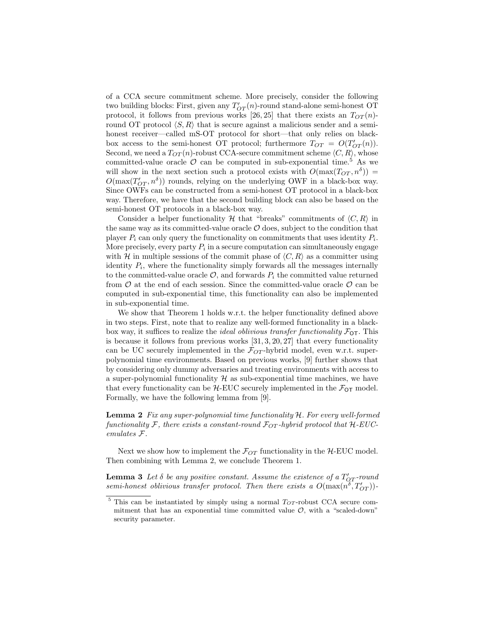of a CCA secure commitment scheme. More precisely, consider the following two building blocks: First, given any  $T'_{OT}(n)$ -round stand-alone semi-honest OT protocol, it follows from previous works [26, 25] that there exists an  $T_{OT}(n)$ round OT protocol  $\langle S, R \rangle$  that is secure against a malicious sender and a semihonest receiver—called mS-OT protocol for short—that only relies on blackbox access to the semi-honest OT protocol; furthermore  $T_{OT} = O(T'_{OT}(n))$ . Second, we need a  $T_{OT}(n)$ -robust CCA-secure commitment scheme  $\langle C, R \rangle$ , whose committed-value oracle  $\mathcal O$  can be computed in sub-exponential time.<sup>5</sup> As we will show in the next section such a protocol exists with  $O(\max(T_{OT}, n^{\delta}))$  =  $O(\max(T'_{OT}, n^{\delta}))$  rounds, relying on the underlying OWF in a black-box way. Since OWFs can be constructed from a semi-honest OT protocol in a black-box way. Therefore, we have that the second building block can also be based on the semi-honest OT protocols in a black-box way.

Consider a helper functionality H that "breaks" commitments of  $\langle C, R \rangle$  in the same way as its committed-value oracle  $\mathcal O$  does, subject to the condition that player  $P_i$  can only query the functionality on commitments that uses identity  $P_i$ . More precisely, every party  $P_i$  in a secure computation can simultaneously engage with H in multiple sessions of the commit phase of  $\langle C, R \rangle$  as a committer using identity  $P_i$ , where the functionality simply forwards all the messages internally to the committed-value oracle  $\mathcal{O}$ , and forwards  $P_i$  the committed value returned from  $\mathcal O$  at the end of each session. Since the committed-value oracle  $\mathcal O$  can be computed in sub-exponential time, this functionality can also be implemented in sub-exponential time.

We show that Theorem 1 holds w.r.t. the helper functionality defined above in two steps. First, note that to realize any well-formed functionality in a blackbox way, it suffices to realize the *ideal oblivious transfer functionality*  $\mathcal{F}_{OT}$ . This is because it follows from previous works [31, 3, 20, 27] that every functionality can be UC securely implemented in the  $\mathcal{F}_{OT}$ -hybrid model, even w.r.t. superpolynomial time environments. Based on previous works, [9] further shows that by considering only dummy adversaries and treating environments with access to a super-polynomial functionality  $H$  as sub-exponential time machines, we have that every functionality can be  $H$ -EUC securely implemented in the  $\mathcal{F}_{OT}$  model. Formally, we have the following lemma from [9].

**Lemma 2** Fix any super-polynomial time functionality  $H$ . For every well-formed functionality F, there exists a constant-round  $\mathcal{F}_{OT}$ -hybrid protocol that H-EUCemulates F.

Next we show how to implement the  $\mathcal{F}_{OT}$  functionality in the H-EUC model. Then combining with Lemma 2, we conclude Theorem 1.

**Lemma 3** Let  $\delta$  be any positive constant. Assume the existence of a  $T'_{QT}$ -round semi-honest oblivious transfer protocol. Then there exists a  $O(\max(n^{\delta}, T'_{OT}))$ -

 $5$  This can be instantiated by simply using a normal  $T_{OT}$ -robust CCA secure commitment that has an exponential time committed value  $\mathcal{O}$ , with a "scaled-down" security parameter.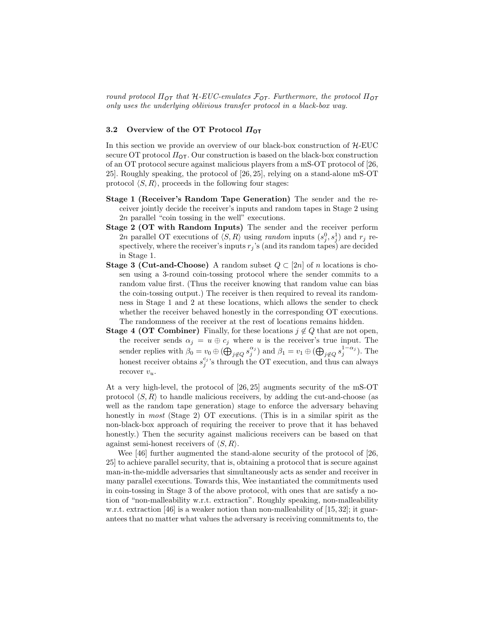round protocol  $\Pi_{\text{OT}}$  that H-EUC-emulates  $\mathcal{F}_{\text{OT}}$ . Furthermore, the protocol  $\Pi_{\text{OT}}$ only uses the underlying oblivious transfer protocol in a black-box way.

## 3.2 Overview of the OT Protocol  $\Pi_{\text{OT}}$

In this section we provide an overview of our black-box construction of  $H$ -EUC secure OT protocol  $\Pi_{\text{OT}}$ . Our construction is based on the black-box construction of an OT protocol secure against malicious players from a mS-OT protocol of [26, 25]. Roughly speaking, the protocol of [26, 25], relying on a stand-alone mS-OT protocol  $\langle S, R \rangle$ , proceeds in the following four stages:

- Stage 1 (Receiver's Random Tape Generation) The sender and the receiver jointly decide the receiver's inputs and random tapes in Stage 2 using 2n parallel "coin tossing in the well" executions.
- Stage 2 (OT with Random Inputs) The sender and the receiver perform 2n parallel OT executions of  $\langle S, R \rangle$  using *random* inputs  $(s_j^0, s_j^1)$  and  $r_j$  respectively, where the receiver's inputs  $r_j$ 's (and its random tapes) are decided in Stage 1.
- **Stage 3 (Cut-and-Choose)** A random subset  $Q \subset [2n]$  of n locations is chosen using a 3-round coin-tossing protocol where the sender commits to a random value first. (Thus the receiver knowing that random value can bias the coin-tossing output.) The receiver is then required to reveal its randomness in Stage 1 and 2 at these locations, which allows the sender to check whether the receiver behaved honestly in the corresponding OT executions. The randomness of the receiver at the rest of locations remains hidden.
- **Stage 4 (OT Combiner)** Finally, for these locations  $j \notin Q$  that are not open, the receiver sends  $\alpha_j = u \oplus c_j$  where u is the receiver's true input. The sender replies with  $\beta_0 = v_0 \oplus (\bigoplus_{j \notin Q} s_j^{\alpha_j})$  and  $\beta_1 = v_1 \oplus (\bigoplus_{j \notin Q} s_j^{1-\alpha_j})$ . The honest receiver obtains  $s_j^{c_j}$ 's through the OT execution, and thus can always recover  $v_u$ .

At a very high-level, the protocol of [26, 25] augments security of the mS-OT protocol  $\langle S, R \rangle$  to handle malicious receivers, by adding the cut-and-choose (as well as the random tape generation) stage to enforce the adversary behaving honestly in *most* (Stage 2) OT executions. (This is in a similar spirit as the non-black-box approach of requiring the receiver to prove that it has behaved honestly.) Then the security against malicious receivers can be based on that against semi-honest receivers of  $\langle S, R \rangle$ .

Wee [46] further augmented the stand-alone security of the protocol of [26, 25] to achieve parallel security, that is, obtaining a protocol that is secure against man-in-the-middle adversaries that simultaneously acts as sender and receiver in many parallel executions. Towards this, Wee instantiated the commitments used in coin-tossing in Stage 3 of the above protocol, with ones that are satisfy a notion of "non-malleability w.r.t. extraction". Roughly speaking, non-malleability w.r.t. extraction [46] is a weaker notion than non-malleability of [15, 32]; it guarantees that no matter what values the adversary is receiving commitments to, the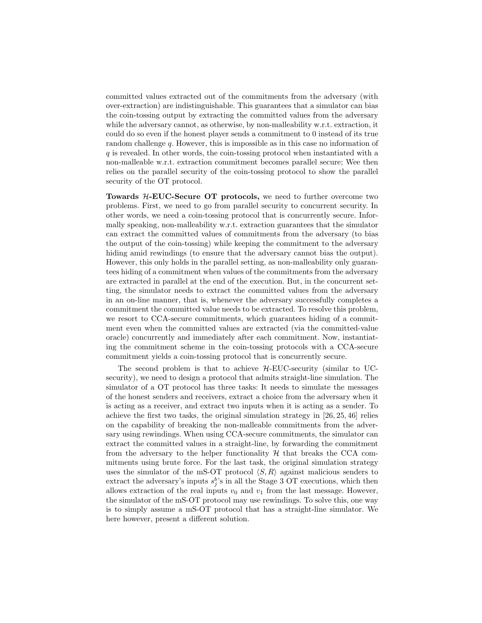committed values extracted out of the commitments from the adversary (with over-extraction) are indistinguishable. This guarantees that a simulator can bias the coin-tossing output by extracting the committed values from the adversary while the adversary cannot, as otherwise, by non-malleability w.r.t. extraction, it could do so even if the honest player sends a commitment to 0 instead of its true random challenge q. However, this is impossible as in this case no information of q is revealed. In other words, the coin-tossing protocol when instantiated with a non-malleable w.r.t. extraction commitment becomes parallel secure; Wee then relies on the parallel security of the coin-tossing protocol to show the parallel security of the OT protocol.

Towards H-EUC-Secure OT protocols, we need to further overcome two problems. First, we need to go from parallel security to concurrent security. In other words, we need a coin-tossing protocol that is concurrently secure. Informally speaking, non-malleability w.r.t. extraction guarantees that the simulator can extract the committed values of commitments from the adversary (to bias the output of the coin-tossing) while keeping the commitment to the adversary hiding amid rewindings (to ensure that the adversary cannot bias the output). However, this only holds in the parallel setting, as non-malleability only guarantees hiding of a commitment when values of the commitments from the adversary are extracted in parallel at the end of the execution. But, in the concurrent setting, the simulator needs to extract the committed values from the adversary in an on-line manner, that is, whenever the adversary successfully completes a commitment the committed value needs to be extracted. To resolve this problem, we resort to CCA-secure commitments, which guarantees hiding of a commitment even when the committed values are extracted (via the committed-value oracle) concurrently and immediately after each commitment. Now, instantiating the commitment scheme in the coin-tossing protocols with a CCA-secure commitment yields a coin-tossing protocol that is concurrently secure.

The second problem is that to achieve  $H$ -EUC-security (similar to UCsecurity), we need to design a protocol that admits straight-line simulation. The simulator of a OT protocol has three tasks: It needs to simulate the messages of the honest senders and receivers, extract a choice from the adversary when it is acting as a receiver, and extract two inputs when it is acting as a sender. To achieve the first two tasks, the original simulation strategy in [26, 25, 46] relies on the capability of breaking the non-malleable commitments from the adversary using rewindings. When using CCA-secure commitments, the simulator can extract the committed values in a straight-line, by forwarding the commitment from the adversary to the helper functionality  $H$  that breaks the CCA commitments using brute force. For the last task, the original simulation strategy uses the simulator of the mS-OT protocol  $\langle S, R \rangle$  against malicious senders to extract the adversary's inputs  $s_j^b$ 's in all the Stage 3 OT executions, which then allows extraction of the real inputs  $v_0$  and  $v_1$  from the last message. However, the simulator of the mS-OT protocol may use rewindings. To solve this, one way is to simply assume a mS-OT protocol that has a straight-line simulator. We here however, present a different solution.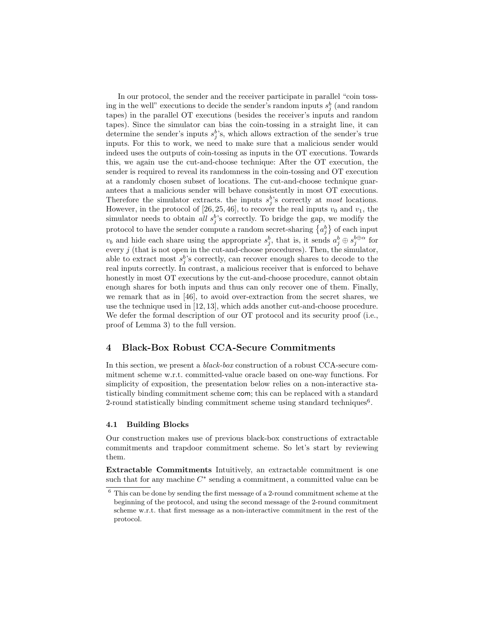In our protocol, the sender and the receiver participate in parallel "coin tossing in the well" executions to decide the sender's random inputs  $s_j^b$  (and random tapes) in the parallel OT executions (besides the receiver's inputs and random tapes). Since the simulator can bias the coin-tossing in a straight line, it can determine the sender's inputs  $s_j^b$ 's, which allows extraction of the sender's true inputs. For this to work, we need to make sure that a malicious sender would indeed uses the outputs of coin-tossing as inputs in the OT executions. Towards this, we again use the cut-and-choose technique: After the OT execution, the sender is required to reveal its randomness in the coin-tossing and OT execution at a randomly chosen subset of locations. The cut-and-choose technique guarantees that a malicious sender will behave consistently in most OT executions. Therefore the simulator extracts. the inputs  $s_j^b$ 's correctly at most locations. However, in the protocol of [26, 25, 46], to recover the real inputs  $v_0$  and  $v_1$ , the simulator needs to obtain all  $s_j^b$ 's correctly. To bridge the gap, we modify the protocol to have the sender compute a random secret-sharing  $\{a_j^b\}$  of each input  $v_b$  and hide each share using the appropriate  $s_j^b$ , that is, it sends  $a_j^b \oplus s_j^{b \oplus \alpha}$  for every  $j$  (that is not open in the cut-and-choose procedures). Then, the simulator, able to extract most  $s_j^b$ 's correctly, can recover enough shares to decode to the real inputs correctly. In contrast, a malicious receiver that is enforced to behave honestly in most OT executions by the cut-and-choose procedure, cannot obtain enough shares for both inputs and thus can only recover one of them. Finally, we remark that as in [46], to avoid over-extraction from the secret shares, we use the technique used in [12, 13], which adds another cut-and-choose procedure. We defer the formal description of our OT protocol and its security proof (i.e., proof of Lemma 3) to the full version.

## 4 Black-Box Robust CCA-Secure Commitments

In this section, we present a *black-box* construction of a robust CCA-secure commitment scheme w.r.t. committed-value oracle based on one-way functions. For simplicity of exposition, the presentation below relies on a non-interactive statistically binding commitment scheme com; this can be replaced with a standard 2-round statistically binding commitment scheme using standard techniques $6$ .

### 4.1 Building Blocks

Our construction makes use of previous black-box constructions of extractable commitments and trapdoor commitment scheme. So let's start by reviewing them.

Extractable Commitments Intuitively, an extractable commitment is one such that for any machine  $C^*$  sending a commitment, a committed value can be

 $6$  This can be done by sending the first message of a 2-round commitment scheme at the beginning of the protocol, and using the second message of the 2-round commitment scheme w.r.t. that first message as a non-interactive commitment in the rest of the protocol.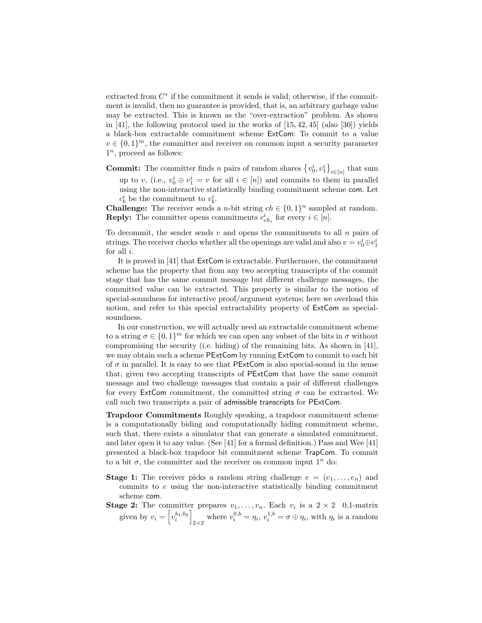extracted from  $C^*$  if the commitment it sends is valid; otherwise, if the commitment is invalid, then no guarantee is provided, that is, an arbitrary garbage value may be extracted. This is known as the "over-extraction" problem. As shown in [41], the following protocol used in the works of [15, 42, 45] (also [30]) yields a black-box extractable commitment scheme ExtCom: To commit to a value  $v \in \{0,1\}^m$ , the committer and receiver on common input a security parameter  $1^n$ , proceed as follows:

**Commit:** The committer finds *n* pairs of random shares  $\{v_0^i, v_1^i\}_{i \in [n]}$  that sum

up to v, (i.e.,  $v_0^i \oplus v_1^i = v$  for all  $i \in [n]$ ) and commits to them in parallel using the non-interactive statistically binding commitment scheme com. Let  $c_b^i$  be the commitment to  $v_b^i$ .

**Challenge:** The receiver sends a *n*-bit string  $ch \in \{0,1\}^n$  sampled at random. **Reply:** The committer opens commitments  $c_{ch_i}^i$  for every  $i \in [n]$ .

To decommit, the sender sends  $v$  and opens the commitments to all  $n$  pairs of strings. The receiver checks whether all the openings are valid and also  $v = v_0^i \oplus v_1^i$ for all  $i$ .

It is proved in [41] that ExtCom is extractable. Furthermore, the commitment scheme has the property that from any two accepting transcripts of the commit stage that has the same commit message but different challenge messages, the committed value can be extracted. This property is similar to the notion of special-soundness for interactive proof/argument systems; here we overload this notion, and refer to this special extractability property of ExtCom as specialsoundness.

In our construction, we will actually need an extractable commitment scheme to a string  $\sigma \in \{0,1\}^m$  for which we can open any subset of the bits in  $\sigma$  without compromising the security (i.e. hiding) of the remaining bits. As shown in [41], we may obtain such a scheme PExtCom by running ExtCom to commit to each bit of  $\sigma$  in parallel. It is easy to see that PExtCom is also special-sound in the sense that, given two accepting transcripts of PExtCom that have the same commit message and two challenge messages that contain a pair of different challenges for every ExtCom commitment, the committed string  $\sigma$  can be extracted. We call such two transcripts a pair of admissible transcripts for PExtCom.

Trapdoor Commitments Roughly speaking, a trapdoor commitment scheme is a computationally biding and computationally hiding commitment scheme, such that, there exists a simulator that can generate a simulated commitment, and later open it to any value. (See [41] for a formal definition.) Pass and Wee [41] presented a black-box trapdoor bit commitment scheme TrapCom. To commit to a bit  $\sigma$ , the committer and the receiver on common input  $1^n$  do:

- **Stage 1:** The receiver picks a random string challenge  $e = (e_1, \ldots, e_n)$  and commits to e using the non-interactive statistically binding commitment scheme com.
- **Stage 2:** The committer prepares  $v_1, \ldots, v_n$ . Each  $v_i$  is a  $2 \times 2$  0,1-matrix given by  $v_i = \left[ v_i^{b_1, b_2} \right]$ where  $v_i^{0,b} = \eta_i$ ,  $v_i^{1,b} = \sigma \oplus \eta_i$ , with  $\eta_i$  is a random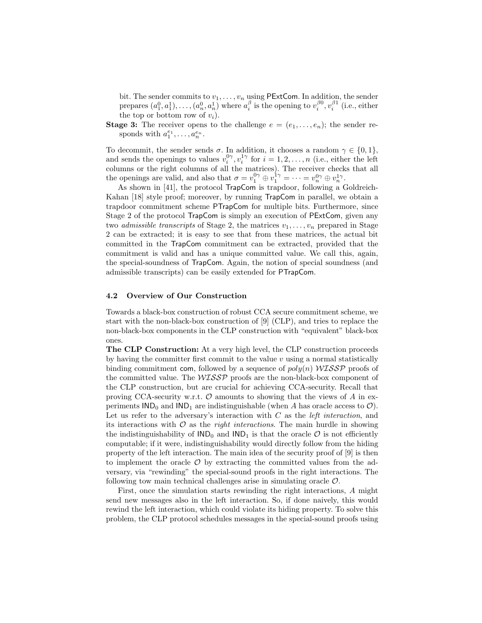bit. The sender commits to  $v_1, \ldots, v_n$  using PExtCom. In addition, the sender prepares  $(a_1^0, a_1^1), \ldots, (a_n^0, a_n^1)$  where  $a_i^{\beta}$  is the opening to  $v_i^{\beta 0}, v_i^{\beta 1}$  (i.e., either the top or bottom row of  $v_i$ ).

**Stage 3:** The receiver opens to the challenge  $e = (e_1, \ldots, e_n)$ ; the sender responds with  $a_1^{e_1}, \ldots, a_n^{e_n}$ .

To decommit, the sender sends  $\sigma$ . In addition, it chooses a random  $\gamma \in \{0, 1\}$ , and sends the openings to values  $v_i^{0\gamma}, v_i^{1\gamma}$  for  $i = 1, 2, ..., n$  (i.e., either the left columns or the right columns of all the matrices). The receiver checks that all the openings are valid, and also that  $\sigma = v_1^{0\gamma} \oplus v_1^{1\gamma} = \cdots = v_n^{0\gamma} \oplus v_n^{1\gamma}$ .

As shown in [41], the protocol TrapCom is trapdoor, following a Goldreich-Kahan [18] style proof; moreover, by running TrapCom in parallel, we obtain a trapdoor commitment scheme PTrapCom for multiple bits. Furthermore, since Stage 2 of the protocol TrapCom is simply an execution of PExtCom, given any two *admissible transcripts* of Stage 2, the matrices  $v_1, \ldots, v_n$  prepared in Stage 2 can be extracted; it is easy to see that from these matrices, the actual bit committed in the TrapCom commitment can be extracted, provided that the commitment is valid and has a unique committed value. We call this, again, the special-soundness of TrapCom. Again, the notion of special soundness (and admissible transcripts) can be easily extended for PTrapCom.

#### 4.2 Overview of Our Construction

Towards a black-box construction of robust CCA secure commitment scheme, we start with the non-black-box construction of [9] (CLP), and tries to replace the non-black-box components in the CLP construction with "equivalent" black-box ones.

The CLP Construction: At a very high level, the CLP construction proceeds by having the committer first commit to the value  $v$  using a normal statistically binding commitment com, followed by a sequence of  $poly(n) WISSP$  proofs of the committed value. The WISSP proofs are the non-black-box component of the CLP construction, but are crucial for achieving CCA-security. Recall that proving CCA-security w.r.t.  $\mathcal O$  amounts to showing that the views of  $A$  in experiments  $IND_0$  and  $IND_1$  are indistinguishable (when A has oracle access to  $\mathcal{O}$ ). Let us refer to the adversary's interaction with  $C$  as the *left interaction*, and its interactions with  $\mathcal O$  as the *right interactions*. The main hurdle in showing the indistinguishability of  $\mathsf{IND}_0$  and  $\mathsf{IND}_1$  is that the oracle  $\mathcal O$  is not efficiently computable; if it were, indistinguishability would directly follow from the hiding property of the left interaction. The main idea of the security proof of [9] is then to implement the oracle  $\mathcal O$  by extracting the committed values from the adversary, via "rewinding" the special-sound proofs in the right interactions. The following tow main technical challenges arise in simulating oracle O.

First, once the simulation starts rewinding the right interactions, A might send new messages also in the left interaction. So, if done naively, this would rewind the left interaction, which could violate its hiding property. To solve this problem, the CLP protocol schedules messages in the special-sound proofs using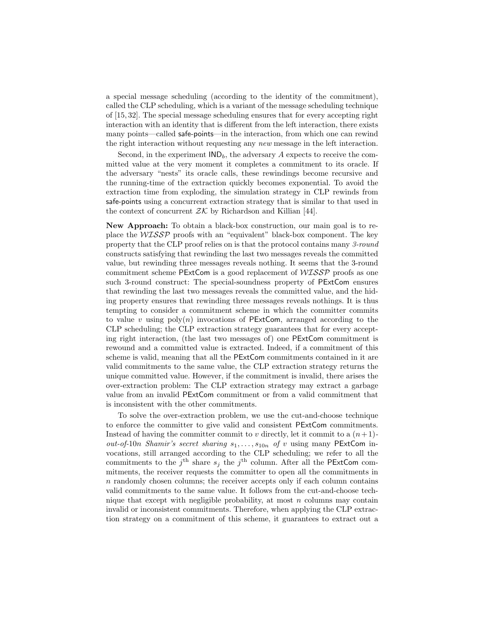a special message scheduling (according to the identity of the commitment), called the CLP scheduling, which is a variant of the message scheduling technique of [15, 32]. The special message scheduling ensures that for every accepting right interaction with an identity that is different from the left interaction, there exists many points—called safe-points—in the interaction, from which one can rewind the right interaction without requesting any new message in the left interaction.

Second, in the experiment  $\mathsf{IND}_b$ , the adversary A expects to receive the committed value at the very moment it completes a commitment to its oracle. If the adversary "nests" its oracle calls, these rewindings become recursive and the running-time of the extraction quickly becomes exponential. To avoid the extraction time from exploding, the simulation strategy in CLP rewinds from safe-points using a concurrent extraction strategy that is similar to that used in the context of concurrent  $ZK$  by Richardson and Killian [44].

New Approach: To obtain a black-box construction, our main goal is to replace the  $WISSP$  proofs with an "equivalent" black-box component. The key property that the CLP proof relies on is that the protocol contains many 3-round constructs satisfying that rewinding the last two messages reveals the committed value, but rewinding three messages reveals nothing. It seems that the 3-round commitment scheme PExtCom is a good replacement of WISSP proofs as one such 3-round construct: The special-soundness property of PExtCom ensures that rewinding the last two messages reveals the committed value, and the hiding property ensures that rewinding three messages reveals nothings. It is thus tempting to consider a commitment scheme in which the committer commits to value v using  $poly(n)$  invocations of PExtCom, arranged according to the CLP scheduling; the CLP extraction strategy guarantees that for every accepting right interaction, (the last two messages of) one PExtCom commitment is rewound and a committed value is extracted. Indeed, if a commitment of this scheme is valid, meaning that all the PExtCom commitments contained in it are valid commitments to the same value, the CLP extraction strategy returns the unique committed value. However, if the commitment is invalid, there arises the over-extraction problem: The CLP extraction strategy may extract a garbage value from an invalid PExtCom commitment or from a valid commitment that is inconsistent with the other commitments.

To solve the over-extraction problem, we use the cut-and-choose technique to enforce the committer to give valid and consistent PExtCom commitments. Instead of having the committer commit to v directly, let it commit to a  $(n+1)$ out-of-10n Shamir's secret sharing  $s_1, \ldots, s_{10n}$  of v using many PExtCom invocations, still arranged according to the CLP scheduling; we refer to all the commitments to the  $j^{\text{th}}$  share  $s_j$  the  $j^{\text{th}}$  column. After all the PExtCom commitments, the receiver requests the committer to open all the commitments in n randomly chosen columns; the receiver accepts only if each column contains valid commitments to the same value. It follows from the cut-and-choose technique that except with negligible probability, at most  $n$  columns may contain invalid or inconsistent commitments. Therefore, when applying the CLP extraction strategy on a commitment of this scheme, it guarantees to extract out a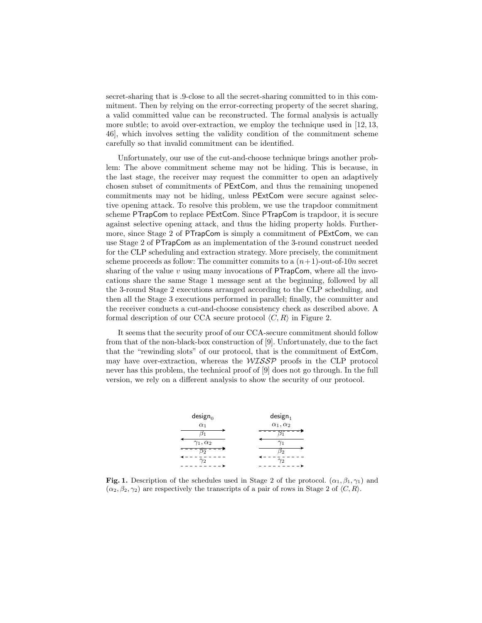secret-sharing that is .9-close to all the secret-sharing committed to in this commitment. Then by relying on the error-correcting property of the secret sharing, a valid committed value can be reconstructed. The formal analysis is actually more subtle; to avoid over-extraction, we employ the technique used in [12, 13, 46], which involves setting the validity condition of the commitment scheme carefully so that invalid commitment can be identified.

Unfortunately, our use of the cut-and-choose technique brings another problem: The above commitment scheme may not be hiding. This is because, in the last stage, the receiver may request the committer to open an adaptively chosen subset of commitments of PExtCom, and thus the remaining unopened commitments may not be hiding, unless PExtCom were secure against selective opening attack. To resolve this problem, we use the trapdoor commitment scheme PTrapCom to replace PExtCom. Since PTrapCom is trapdoor, it is secure against selective opening attack, and thus the hiding property holds. Furthermore, since Stage 2 of PTrapCom is simply a commitment of PExtCom, we can use Stage 2 of PTrapCom as an implementation of the 3-round construct needed for the CLP scheduling and extraction strategy. More precisely, the commitment scheme proceeds as follow: The committer commits to a  $(n+1)$ -out-of-10n secret sharing of the value  $v$  using many invocations of **PTrapCom**, where all the invocations share the same Stage 1 message sent at the beginning, followed by all the 3-round Stage 2 executions arranged according to the CLP scheduling, and then all the Stage 3 executions performed in parallel; finally, the committer and the receiver conducts a cut-and-choose consistency check as described above. A formal description of our CCA secure protocol  $\langle C, R \rangle$  in Figure 2.

It seems that the security proof of our CCA-secure commitment should follow from that of the non-black-box construction of [9]. Unfortunately, due to the fact that the "rewinding slots" of our protocol, that is the commitment of ExtCom, may have over-extraction, whereas the WISSP proofs in the CLP protocol never has this problem, the technical proof of [9] does not go through. In the full version, we rely on a different analysis to show the security of our protocol.



Fig. 1. Description of the schedules used in Stage 2 of the protocol.  $(\alpha_1, \beta_1, \gamma_1)$  and  $(\alpha_2, \beta_2, \gamma_2)$  are respectively the transcripts of a pair of rows in Stage 2 of  $\langle C, R \rangle$ .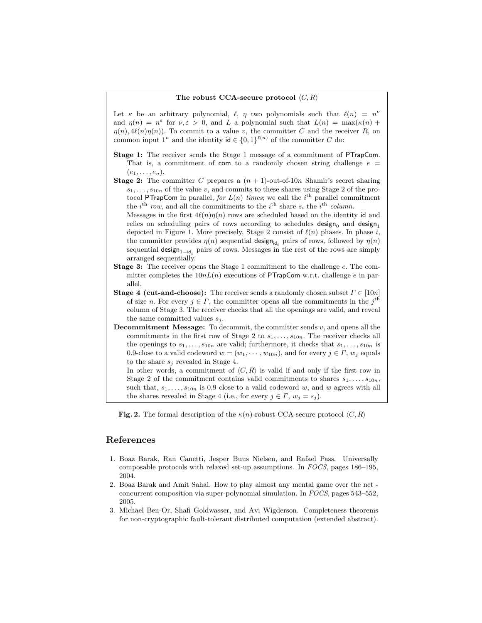#### The robust CCA-secure protocol  $\langle C, R \rangle$

Let  $\kappa$  be an arbitrary polynomial,  $\ell$ ,  $\eta$  two polynomials such that  $\ell(n) = n^{\nu}$ and  $\eta(n) = n^{\varepsilon}$  for  $\nu, \varepsilon > 0$ , and L a polynomial such that  $L(n) = \max(\kappa(n)) +$  $\eta(n), \mathcal{A}\ell(n)\eta(n)$ . To commit to a value v, the committer C and the receiver R, on common input  $1^n$  and the identity  $\mathsf{id} \in \{0,1\}^{\ell(n)}$  of the committer C do:

Stage 1: The receiver sends the Stage 1 message of a commitment of PTrapCom. That is, a commitment of com to a randomly chosen string challenge  $e =$  $(e_1,\ldots,e_n).$ 

**Stage 2:** The committer C prepares a  $(n + 1)$ -out-of-10n Shamir's secret sharing  $s_1, \ldots, s_{10n}$  of the value v, and commits to these shares using Stage 2 of the protocol PTrapCom in parallel, for  $L(n)$  times; we call the i<sup>th</sup> parallel commitment the  $i^{\text{th}}$  row, and all the commitments to the  $i^{\text{th}}$  share  $s_i$  the  $i^{\text{th}}$  column.

Messages in the first  $4\ell(n)\eta(n)$  rows are scheduled based on the identity id and relies on scheduling pairs of rows according to schedules design<sub>0</sub> and design<sub>1</sub> depicted in Figure 1. More precisely, Stage 2 consist of  $\ell(n)$  phases. In phase i, the committer provides  $\eta(n)$  sequential design<sub>id<sub>i</sub></sub> pairs of rows, followed by  $\eta(n)$ sequential  $\mathsf{design}_{1-\mathsf{id}_i}$  pairs of rows. Messages in the rest of the rows are simply arranged sequentially.

- Stage 3: The receiver opens the Stage 1 commitment to the challenge e. The committer completes the  $10nL(n)$  executions of PTrapCom w.r.t. challenge e in parallel.
- **Stage 4 (cut-and-choose):** The receiver sends a randomly chosen subset  $\Gamma \in [10n]$ of size *n*. For every  $j \in \Gamma$ , the committer opens all the commitments in the  $j^{\text{th}}$ column of Stage 3. The receiver checks that all the openings are valid, and reveal the same committed values  $s_j$ .
- **Decommitment Message:** To decommit, the committer sends  $v$ , and opens all the commitments in the first row of Stage 2 to  $s_1, \ldots, s_{10n}$ . The receiver checks all the openings to  $s_1, \ldots, s_{10n}$  are valid; furthermore, it checks that  $s_1, \ldots, s_{10n}$  is 0.9-close to a valid codeword  $w = (w_1, \dots, w_{10n})$ , and for every  $j \in \Gamma$ ,  $w_j$  equals to the share  $s_j$  revealed in Stage 4.

In other words, a commitment of  $\langle C, R \rangle$  is valid if and only if the first row in Stage 2 of the commitment contains valid commitments to shares  $s_1, \ldots, s_{10n}$ , such that,  $s_1, \ldots, s_{10n}$  is 0.9 close to a valid codeword w, and w agrees with all the shares revealed in Stage 4 (i.e., for every  $j \in \Gamma$ ,  $w_j = s_j$ ).

**Fig. 2.** The formal description of the  $\kappa(n)$ -robust CCA-secure protocol  $\langle C, R \rangle$ 

## References

- 1. Boaz Barak, Ran Canetti, Jesper Buus Nielsen, and Rafael Pass. Universally composable protocols with relaxed set-up assumptions. In FOCS, pages 186–195, 2004.
- 2. Boaz Barak and Amit Sahai. How to play almost any mental game over the net concurrent composition via super-polynomial simulation. In FOCS, pages 543–552, 2005.
- 3. Michael Ben-Or, Shafi Goldwasser, and Avi Wigderson. Completeness theorems for non-cryptographic fault-tolerant distributed computation (extended abstract).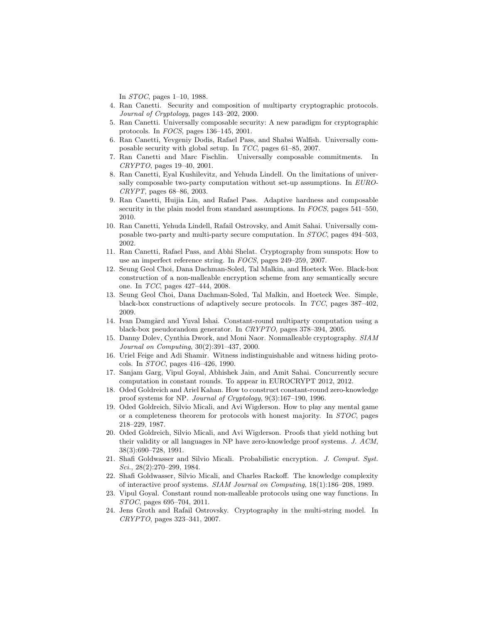In STOC, pages 1–10, 1988.

- 4. Ran Canetti. Security and composition of multiparty cryptographic protocols. Journal of Cryptology, pages 143–202, 2000.
- 5. Ran Canetti. Universally composable security: A new paradigm for cryptographic protocols. In FOCS, pages 136–145, 2001.
- 6. Ran Canetti, Yevgeniy Dodis, Rafael Pass, and Shabsi Walfish. Universally composable security with global setup. In TCC, pages 61–85, 2007.
- 7. Ran Canetti and Marc Fischlin. Universally composable commitments. In CRYPTO, pages 19–40, 2001.
- 8. Ran Canetti, Eyal Kushilevitz, and Yehuda Lindell. On the limitations of universally composable two-party computation without set-up assumptions. In EURO-CRYPT, pages 68–86, 2003.
- 9. Ran Canetti, Huijia Lin, and Rafael Pass. Adaptive hardness and composable security in the plain model from standard assumptions. In FOCS, pages 541–550, 2010.
- 10. Ran Canetti, Yehuda Lindell, Rafail Ostrovsky, and Amit Sahai. Universally composable two-party and multi-party secure computation. In STOC, pages 494–503, 2002.
- 11. Ran Canetti, Rafael Pass, and Abhi Shelat. Cryptography from sunspots: How to use an imperfect reference string. In FOCS, pages 249–259, 2007.
- 12. Seung Geol Choi, Dana Dachman-Soled, Tal Malkin, and Hoeteck Wee. Black-box construction of a non-malleable encryption scheme from any semantically secure one. In TCC, pages 427–444, 2008.
- 13. Seung Geol Choi, Dana Dachman-Soled, Tal Malkin, and Hoeteck Wee. Simple, black-box constructions of adaptively secure protocols. In TCC, pages 387–402, 2009.
- 14. Ivan Damgård and Yuval Ishai. Constant-round multiparty computation using a black-box pseudorandom generator. In CRYPTO, pages 378–394, 2005.
- 15. Danny Dolev, Cynthia Dwork, and Moni Naor. Nonmalleable cryptography. SIAM Journal on Computing, 30(2):391–437, 2000.
- 16. Uriel Feige and Adi Shamir. Witness indistinguishable and witness hiding protocols. In STOC, pages 416–426, 1990.
- 17. Sanjam Garg, Vipul Goyal, Abhishek Jain, and Amit Sahai. Concurrently secure computation in constant rounds. To appear in EUROCRYPT 2012, 2012.
- 18. Oded Goldreich and Ariel Kahan. How to construct constant-round zero-knowledge proof systems for NP. Journal of Cryptology, 9(3):167–190, 1996.
- 19. Oded Goldreich, Silvio Micali, and Avi Wigderson. How to play any mental game or a completeness theorem for protocols with honest majority. In STOC, pages 218–229, 1987.
- 20. Oded Goldreich, Silvio Micali, and Avi Wigderson. Proofs that yield nothing but their validity or all languages in NP have zero-knowledge proof systems. J. ACM, 38(3):690–728, 1991.
- 21. Shafi Goldwasser and Silvio Micali. Probabilistic encryption. J. Comput. Syst. Sci., 28(2):270–299, 1984.
- 22. Shafi Goldwasser, Silvio Micali, and Charles Rackoff. The knowledge complexity of interactive proof systems. SIAM Journal on Computing, 18(1):186–208, 1989.
- 23. Vipul Goyal. Constant round non-malleable protocols using one way functions. In STOC, pages 695–704, 2011.
- 24. Jens Groth and Rafail Ostrovsky. Cryptography in the multi-string model. In CRYPTO, pages 323–341, 2007.